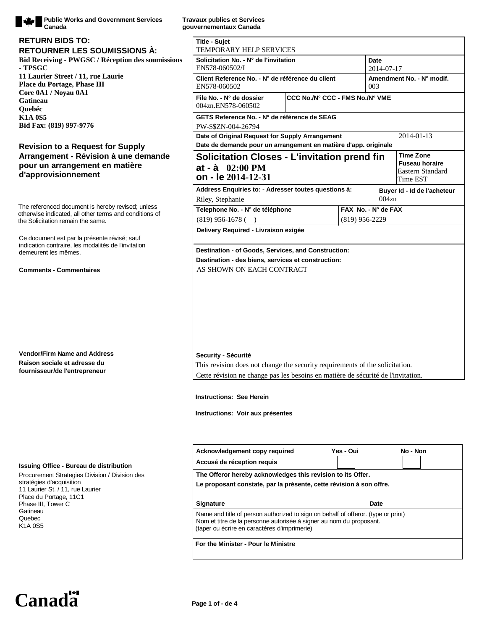

**Public Works and Government Services Canada**

### **Bid Receiving - PWGSC / Réception des soumissions - TPSGC 11 Laurier Street / 11, rue Laurie Place du Portage, Phase III Core 0A1 / Noyau 0A1 Gatineau Quebéc K1A 0S5 Bid Fax: (819) 997-9776 RETOURNER LES SOUMISSIONS À: RETURN BIDS TO:**

## **Revision to a Request for Supply Arrangement - Révision à une demande pour un arrangement en matière d'approvisionnement**

The referenced document is hereby revised; unless otherwise indicated, all other terms and conditions of the Solicitation remain the same.

Ce document est par la présente révisé; sauf indication contraire, les modalités de l'invitation demeurent les mêmes.

#### **Comments - Commentaires**

**Vendor/Firm Name and Address Raison sociale et adresse du fournisseur/de l'entrepreneur**

#### **Issuing Office - Bureau de distribution**

Procurement Strategies Division / Division des stratégies d'acquisition 11 Laurier St. / 11, rue Laurier Place du Portage, 11C1 Phase III, Tower C Gatineau Quebec K1A 0S5

**Travaux publics et Services gouvernementaux Canada**

| <b>Title - Sujet</b><br>TEMPORARY HELP SERVICES                                                                                                                                                          |                                 |                                  |                                      |                                                       |  |
|----------------------------------------------------------------------------------------------------------------------------------------------------------------------------------------------------------|---------------------------------|----------------------------------|--------------------------------------|-------------------------------------------------------|--|
| Solicitation No. - N° de l'invitation<br>EN578-060502/I                                                                                                                                                  |                                 | Date<br>2014-07-17               |                                      |                                                       |  |
| Client Reference No. - N° de référence du client<br>EN578-060502                                                                                                                                         |                                 | Amendment No. - N° modif.<br>003 |                                      |                                                       |  |
| File No. - N° de dossier<br>004zn.EN578-060502                                                                                                                                                           | CCC No./N° CCC - FMS No./N° VME |                                  |                                      |                                                       |  |
| GETS Reference No. - N° de référence de SEAG<br>PW-\$\$ZN-004-26794                                                                                                                                      |                                 |                                  |                                      |                                                       |  |
| Date of Original Request for Supply Arrangement                                                                                                                                                          |                                 |                                  |                                      | 2014-01-13                                            |  |
| Date de demande pour un arrangement en matière d'app. originale                                                                                                                                          |                                 |                                  |                                      | <b>Time Zone</b>                                      |  |
| <b>Solicitation Closes - L'invitation prend fin</b><br>$at - à 02:00 PM$<br>on - le 2014-12-31                                                                                                           |                                 |                                  |                                      | <b>Fuseau horaire</b><br>Eastern Standard<br>Time EST |  |
| Address Enquiries to: - Adresser toutes questions à:<br>Riley, Stephanie                                                                                                                                 |                                 |                                  | Buyer Id - Id de l'acheteur<br>004zn |                                                       |  |
| Telephone No. - N° de téléphone                                                                                                                                                                          | FAX No. - N° de FAX             |                                  |                                      |                                                       |  |
| $(819)$ 956-1678 (                                                                                                                                                                                       |                                 |                                  | $(819)$ 956-2229                     |                                                       |  |
| Delivery Required - Livraison exigée                                                                                                                                                                     |                                 |                                  |                                      |                                                       |  |
| Security - Sécurité<br>This revision does not change the security requirements of the solicitation.<br>Cette révision ne change pas les besoins en matière de sécurité de l'invitation.                  |                                 |                                  |                                      |                                                       |  |
| <b>Instructions: See Herein</b>                                                                                                                                                                          |                                 |                                  |                                      |                                                       |  |
| Instructions: Voir aux présentes                                                                                                                                                                         |                                 |                                  |                                      |                                                       |  |
| Acknowledgement copy required                                                                                                                                                                            |                                 | Yes - Oui                        |                                      | No - Non                                              |  |
| Accusé de réception requis                                                                                                                                                                               |                                 |                                  |                                      |                                                       |  |
| The Offeror hereby acknowledges this revision to its Offer.<br>Le proposant constate, par la présente, cette révision à son offre.                                                                       |                                 |                                  |                                      |                                                       |  |
| <b>Signature</b>                                                                                                                                                                                         |                                 |                                  | Date                                 |                                                       |  |
| Name and title of person authorized to sign on behalf of offeror. (type or print)<br>Nom et titre de la personne autorisée à signer au nom du proposant.<br>(taper ou écrire en caractères d'imprimerie) |                                 |                                  |                                      |                                                       |  |

**For the Minister - Pour le Ministre**

Canada<sup><sup>1-1</sup></sup>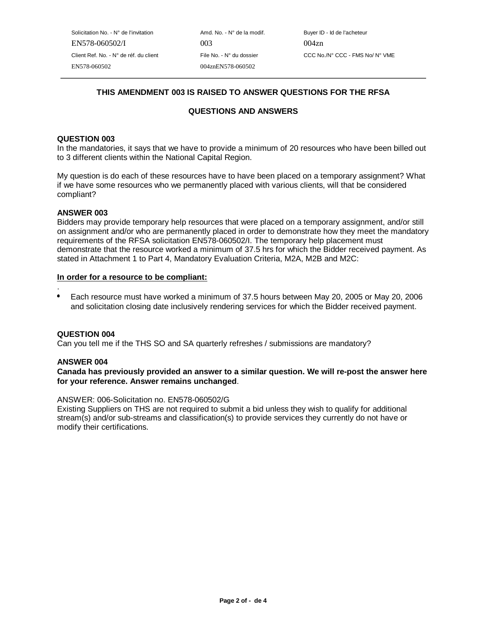Solicitation No. - N° de l'invitation  $A \cap A \cap A$  Amd. No. - N° de la modif. Buyer ID - Id de l'acheteur EN578-060502/I 003 004zn EN578-060502 004znEN578-060502

# **THIS AMENDMENT 003 IS RAISED TO ANSWER QUESTIONS FOR THE RFSA**

# **QUESTIONS AND ANSWERS**

### **QUESTION 003**

In the mandatories, it says that we have to provide a minimum of 20 resources who have been billed out to 3 different clients within the National Capital Region.

My question is do each of these resources have to have been placed on a temporary assignment? What if we have some resources who we permanently placed with various clients, will that be considered compliant?

### **ANSWER 003**

Bidders may provide temporary help resources that were placed on a temporary assignment, and/or still on assignment and/or who are permanently placed in order to demonstrate how they meet the mandatory requirements of the RFSA solicitation EN578-060502/I. The temporary help placement must demonstrate that the resource worked a minimum of 37.5 hrs for which the Bidder received payment. As stated in Attachment 1 to Part 4, Mandatory Evaluation Criteria, M2A, M2B and M2C:

#### **In order for a resource to be compliant:**

- .
- Each resource must have worked a minimum of 37.5 hours between May 20, 2005 or May 20, 2006 and solicitation closing date inclusively rendering services for which the Bidder received payment.

## **QUESTION 004**

Can you tell me if the THS SO and SA quarterly refreshes / submissions are mandatory?

#### **ANSWER 004**

## **Canada has previously provided an answer to a similar question. We will re-post the answer here for your reference. Answer remains unchanged**.

#### ANSWER: 006-Solicitation no. EN578-060502/G

Existing Suppliers on THS are not required to submit a bid unless they wish to qualify for additional stream(s) and/or sub-streams and classification(s) to provide services they currently do not have or modify their certifications.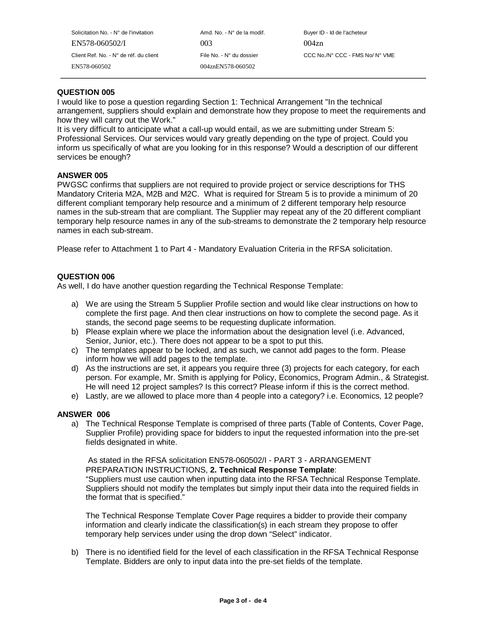Solicitation No. - N° de l'invitation Amd. No. - N° de la modif. Buyer ID - Id de l'acheteur EN578-060502/I 003 004zn EN578-060502 004znEN578-060502

Client Ref. No. - N° de réf. du client File No. - N° du dossier CCC No./N° CCC - FMS No/ N° VME

# **QUESTION 005**

I would like to pose a question regarding Section 1: Technical Arrangement "In the technical arrangement, suppliers should explain and demonstrate how they propose to meet the requirements and how they will carry out the Work."

It is very difficult to anticipate what a call-up would entail, as we are submitting under Stream 5: Professional Services. Our services would vary greatly depending on the type of project. Could you inform us specifically of what are you looking for in this response? Would a description of our different services be enough?

## **ANSWER 005**

PWGSC confirms that suppliers are not required to provide project or service descriptions for THS Mandatory Criteria M2A, M2B and M2C. What is required for Stream 5 is to provide a minimum of 20 different compliant temporary help resource and a minimum of 2 different temporary help resource names in the sub-stream that are compliant. The Supplier may repeat any of the 20 different compliant temporary help resource names in any of the sub-streams to demonstrate the 2 temporary help resource names in each sub-stream.

Please refer to Attachment 1 to Part 4 - Mandatory Evaluation Criteria in the RFSA solicitation.

### **QUESTION 006**

As well, I do have another question regarding the Technical Response Template:

- a) We are using the Stream 5 Supplier Profile section and would like clear instructions on how to complete the first page. And then clear instructions on how to complete the second page. As it stands, the second page seems to be requesting duplicate information.
- b) Please explain where we place the information about the designation level (i.e. Advanced, Senior, Junior, etc.). There does not appear to be a spot to put this.
- c) The templates appear to be locked, and as such, we cannot add pages to the form. Please inform how we will add pages to the template.
- d) As the instructions are set, it appears you require three (3) projects for each category, for each person. For example, Mr. Smith is applying for Policy, Economics, Program Admin., & Strategist. He will need 12 project samples? Is this correct? Please inform if this is the correct method.
- e) Lastly, are we allowed to place more than 4 people into a category? i.e. Economics, 12 people?

#### **ANSWER 006**

a) The Technical Response Template is comprised of three parts (Table of Contents, Cover Page, Supplier Profile) providing space for bidders to input the requested information into the pre-set fields designated in white.

 As stated in the RFSA solicitation EN578-060502/I - PART 3 - ARRANGEMENT PREPARATION INSTRUCTIONS, **2. Technical Response Template**: "Suppliers must use caution when inputting data into the RFSA Technical Response Template. Suppliers should not modify the templates but simply input their data into the required fields in the format that is specified."

The Technical Response Template Cover Page requires a bidder to provide their company information and clearly indicate the classification(s) in each stream they propose to offer temporary help services under using the drop down "Select" indicator.

b) There is no identified field for the level of each classification in the RFSA Technical Response Template. Bidders are only to input data into the pre-set fields of the template.